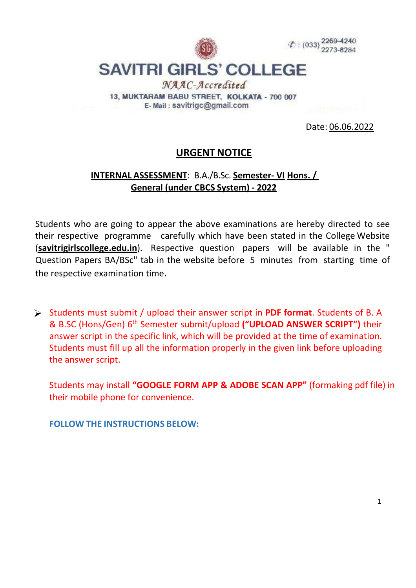

# **SAVITRI GIRLS' COLLEGE**

NAAC-Accredited 13. MUKTARAM BABU STREET. KOLKATA - 700 007 E-Mail: savitrigc@gmail.com

Date: 06.06.2022

## **URGENT NOTICE**

### **INTERNAL ASSESSMENT**: B.A./B.Sc. **Semester- VI Hons. / General (under CBCS System) - 2022**

Students who are going to appear the above examinations are hereby directed to see their respective programme carefully which have been stated in the College Website (**savitrigirlscollege.edu.in**). Respective question papers will be available in the " Question Papers BA/BSc" tab in the website before 5 minutes from starting time of the respective examination time.

 Students must submit / upload their answer script in **PDF format**. Students of B. A & B.SC (Hons/Gen) 6th Semester submit/upload **("UPLOAD ANSWER SCRIPT")** their answer script in the specific link, which will be provided at the time of examination. Students must fill up all the information properly in the given link before uploading the answer script.

Students may install "GOOGLE FORM APP & ADOBE SCAN APP" (formaking pdf file) in their mobile phone for convenience.

**FOLLOW THE INSTRUCTIONS BELOW:**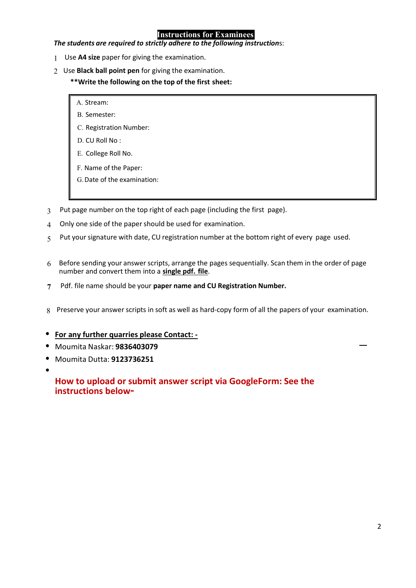#### **Instructions for Examinees**

*The students are required to strictly adhere to the following instruction*s:

- 1 Use **A4 size** paper for giving the examination.
- 2 Use **Black ball point pen** for giving the examination.
	- **\*\*Write the following on the top of the first sheet:** 
		- A. Stream:
		- B. Semester:
		- C. Registration Number:
		- D. CU Roll No :
		- E. College Roll No.
		- F. Name of the Paper:
		- G.Date of the examination:
- 3 Put page number on the top right of each page (including the first page).
- 4 Only one side of the paper should be used for examination.
- 5 Put your signature with date, CU registration number at the bottom right of every page used.
- 6 Before sending your answer scripts, arrange the pages sequentially. Scan them in the order of page number and convert them into a **single pdf. file**.
- **7** Pdf. file name should be your **paper name and CU Registration Number.**
- 8 Preserve your answer scripts in soft as well as hard-copy form of all the papers of your examination.
- **For any further quarries please Contact:**
- Moumita Naskar: **9836403079**
- Moumita Dutta: **9123736251**
- •

**How to upload or submit answer script via Google Form: See the instructions below-**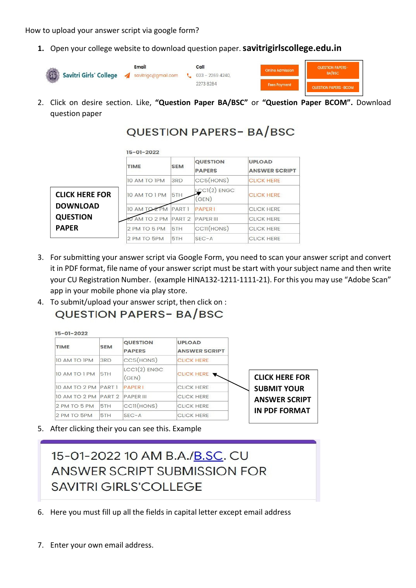How to upload your answer script via google form?

**1.** Open your college website to download question paper. **savitrigirlscollege.edu.in** 



2. Click on desire section. Like, **"Question Paper BA/BSC"** or **"Question Paper BCOM".** Download question paper

**QUESTION PAPERS-BA/BSC** 

|                       | $15 - 01 - 2022$ |                   |                                  |                                       |
|-----------------------|------------------|-------------------|----------------------------------|---------------------------------------|
|                       | <b>TIME</b>      | <b>SEM</b>        | <b>QUESTION</b><br><b>PAPERS</b> | <b>UPLOAD</b><br><b>ANSWER SCRIPT</b> |
|                       | 10 AM TO IPM     | 3RD               | CC5(HONS)                        | <b>CLICK HERE</b>                     |
| <b>CLICK HERE FOR</b> | 10 AM TO I PM    | 5TH               | $LCCI(2)$ ENGC<br>(GEN)          | <b>CLICK HERE</b>                     |
| <b>DOWNLOAD</b>       | 10 AM TO         | PART <sub>1</sub> | <b>PAPER</b>                     | <b>CLICK HERE</b>                     |
| <b>QUESTION</b>       | AM TO 2 PM       | PART <sub>2</sub> | <b>PAPER III</b>                 | <b>CLICK HERE</b>                     |
| <b>PAPFR</b>          | 2 PM TO 5 PM     | 5TH               | CCII(HONS)                       | <b>CLICK HERE</b>                     |
|                       | 2 PM TO 5PM      | 5TH               | $SEC - A$                        | <b>CLICK HERE</b>                     |

- 3. For submitting your answer script via Google Form, you need to scan your answer script and convert it in PDF format, file name of your answer script must be start with your subject name and then write your CU Registration Number. (example HINA132-1211-1111-21). For this you may use "Adobe Scan" app in your mobile phone via play store.
- 4. To submit/upload your answer script, then click on :

### **QUESTION PAPERS-BA/BSC**



5. After clicking their you can see this. Example

## 15-01-2022 10 AM B.A./B.SC. CU ANSWER SCRIPT SUBMISSION FOR **SAVITRI GIRLS'COLLEGE**

- 6. Here you must fill up all the fields in capital letter except email address
- 7. Enter your own email address.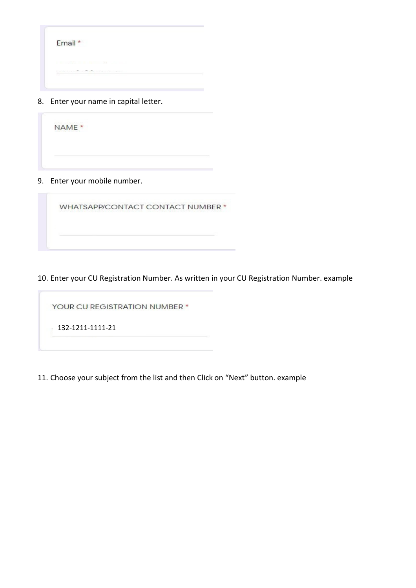| IN BRITISH ENGINEERING IN A REPORT OF SAY CONTINUES. | Email * |  |  |
|------------------------------------------------------|---------|--|--|
|                                                      |         |  |  |

8. Enter your name in capital letter.

|  | NAME <sup>*</sup><br>. |  |  |
|--|------------------------|--|--|
|  |                        |  |  |
|  |                        |  |  |

9. Enter your mobile number.

WHATSAPP/CONTACT CONTACT NUMBER \*

10. Enter your CU Registration Number. As written in your CU Registration Number. example

YOUR CU REGISTRATION NUMBER \*

132-1211-1111-21

11. Choose your subject from the list and then Click on "Next" button. example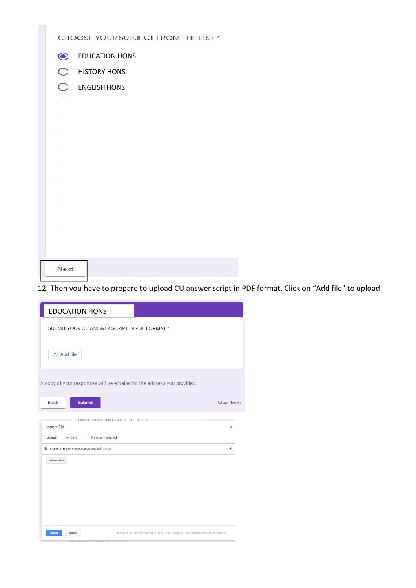| CHOOSE YOUR SUBJECT FROM THE LIST *    |
|----------------------------------------|
| $\bullet$<br><b>EDUCATION HONS</b>     |
| <b>HISTORY HONS</b><br>$\bigcirc$<br>g |
| ◯<br><b>ENGLISH HONS</b>               |
| ã                                      |
| ã                                      |
| ã                                      |
| ã                                      |
| ã                                      |
| ä                                      |
| ã                                      |
| 持                                      |
| ä                                      |
| ã                                      |
|                                        |
| Next                                   |

12. Then you have to prepare to upload CU answer script in PDF format. Click on "Add file" to upload

| SUBMIT YOUR CU ANSWER SCRIPT IN PDF FORMAT *<br><b>1</b> Add file<br>A copy of your responses will be emailed to the address you provided.<br><b>Submit</b><br>Back<br>JAVIIKI JIKI JI JI I LUT<br>Insert file<br>$\times$<br>Previously selected<br>Upload<br>My Drive<br>× | <b>EDUCATION HONS</b>                      |            |
|------------------------------------------------------------------------------------------------------------------------------------------------------------------------------------------------------------------------------------------------------------------------------|--------------------------------------------|------------|
|                                                                                                                                                                                                                                                                              |                                            |            |
|                                                                                                                                                                                                                                                                              |                                            |            |
|                                                                                                                                                                                                                                                                              |                                            |            |
|                                                                                                                                                                                                                                                                              |                                            | Clear form |
|                                                                                                                                                                                                                                                                              |                                            |            |
|                                                                                                                                                                                                                                                                              |                                            |            |
|                                                                                                                                                                                                                                                                              |                                            |            |
|                                                                                                                                                                                                                                                                              | Add more files                             |            |
|                                                                                                                                                                                                                                                                              |                                            |            |
|                                                                                                                                                                                                                                                                              |                                            |            |
|                                                                                                                                                                                                                                                                              | BA, BSC 5TH SEM merge_compressed.pdf 5.47M |            |
|                                                                                                                                                                                                                                                                              |                                            |            |
|                                                                                                                                                                                                                                                                              |                                            |            |